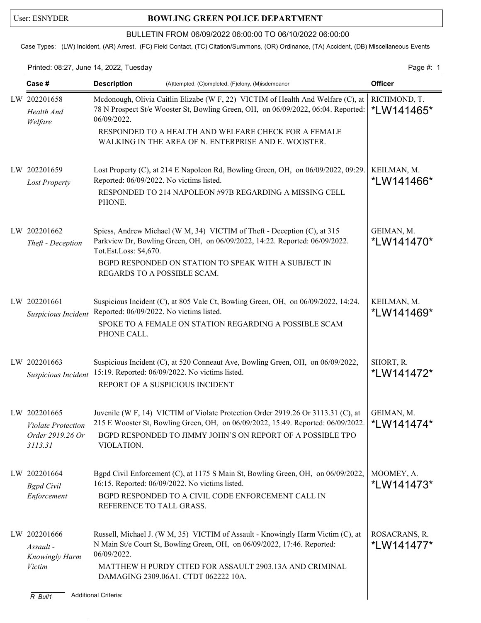## User: ESNYDER **BOWLING GREEN POLICE DEPARTMENT**

## BULLETIN FROM 06/09/2022 06:00:00 TO 06/10/2022 06:00:00

Case Types: (LW) Incident, (AR) Arrest, (FC) Field Contact, (TC) Citation/Summons, (OR) Ordinance, (TA) Accident, (DB) Miscellaneous Events

Printed: 08:27, June 14, 2022, Tuesday Page #: 1

| Case #                                                                   | <b>Description</b><br>(A)ttempted, (C)ompleted, (F)elony, (M)isdemeanor                                                                                                                                                                                                       | <b>Officer</b>              |
|--------------------------------------------------------------------------|-------------------------------------------------------------------------------------------------------------------------------------------------------------------------------------------------------------------------------------------------------------------------------|-----------------------------|
| LW 202201658<br>Health And<br>Welfare                                    | Mcdonough, Olivia Caitlin Elizabe (W F, 22) VICTIM of Health And Welfare (C), at<br>78 N Prospect St/e Wooster St, Bowling Green, OH, on 06/09/2022, 06:04. Reported:<br>06/09/2022.                                                                                          | RICHMOND, T.<br>*LW141465*  |
|                                                                          | RESPONDED TO A HEALTH AND WELFARE CHECK FOR A FEMALE<br>WALKING IN THE AREA OF N. ENTERPRISE AND E. WOOSTER.                                                                                                                                                                  |                             |
| LW 202201659<br><b>Lost Property</b>                                     | Lost Property (C), at 214 E Napoleon Rd, Bowling Green, OH, on 06/09/2022, 09:29.   KEILMAN, M.<br>Reported: 06/09/2022. No victims listed.<br>RESPONDED TO 214 NAPOLEON #97B REGARDING A MISSING CELL<br>PHONE.                                                              | *LW141466*                  |
| LW 202201662<br>Theft - Deception                                        | Spiess, Andrew Michael (W M, 34) VICTIM of Theft - Deception (C), at 315<br>Parkview Dr, Bowling Green, OH, on 06/09/2022, 14:22. Reported: 06/09/2022.<br>Tot.Est.Loss: \$4,670.                                                                                             | GEIMAN, M.<br>*LW141470*    |
|                                                                          | BGPD RESPONDED ON STATION TO SPEAK WITH A SUBJECT IN<br>REGARDS TO A POSSIBLE SCAM.                                                                                                                                                                                           |                             |
| LW 202201661<br>Suspicious Incident                                      | Suspicious Incident (C), at 805 Vale Ct, Bowling Green, OH, on 06/09/2022, 14:24.<br>Reported: 06/09/2022. No victims listed.<br>SPOKE TO A FEMALE ON STATION REGARDING A POSSIBLE SCAM<br>PHONE CALL.                                                                        | KEILMAN, M.<br>*LW141469*   |
| LW 202201663<br>Suspicious Incident                                      | Suspicious Incident (C), at 520 Conneaut Ave, Bowling Green, OH, on 06/09/2022,<br>15:19. Reported: 06/09/2022. No victims listed.<br>REPORT OF A SUSPICIOUS INCIDENT                                                                                                         | SHORT, R.<br>*LW141472*     |
|                                                                          |                                                                                                                                                                                                                                                                               |                             |
| LW 202201665<br><b>Violate Protection</b><br>Order 2919.26 Or<br>3113.31 | Juvenile (W F, 14) VICTIM of Violate Protection Order 2919.26 Or 3113.31 (C), at<br>215 E Wooster St, Bowling Green, OH, on 06/09/2022, 15:49. Reported: 06/09/2022.<br>BGPD RESPONDED TO JIMMY JOHN'S ON REPORT OF A POSSIBLE TPO<br>VIOLATION.                              | GEIMAN, M.<br>*LW141474*    |
| LW 202201664<br><b>Bgpd</b> Civil<br>Enforcement                         | Bgpd Civil Enforcement (C), at 1175 S Main St, Bowling Green, OH, on 06/09/2022,<br>16:15. Reported: 06/09/2022. No victims listed.<br>BGPD RESPONDED TO A CIVIL CODE ENFORCEMENT CALL IN<br>REFERENCE TO TALL GRASS.                                                         | MOOMEY, A.<br>*LW141473*    |
| LW 202201666<br>Assault -<br>Knowingly Harm<br>Victim                    | Russell, Michael J. (W M, 35) VICTIM of Assault - Knowingly Harm Victim (C), at<br>N Main St/e Court St, Bowling Green, OH, on 06/09/2022, 17:46. Reported:<br>06/09/2022.<br>MATTHEW H PURDY CITED FOR ASSAULT 2903.13A AND CRIMINAL<br>DAMAGING 2309.06A1. CTDT 062222 10A. | ROSACRANS, R.<br>*LW141477* |
| R_Bull1                                                                  | Additional Criteria:                                                                                                                                                                                                                                                          |                             |